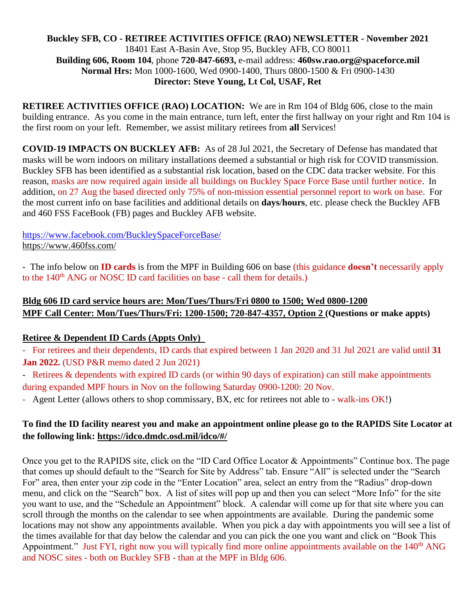### **Buckley SFB, CO - RETIREE ACTIVITIES OFFICE (RAO) NEWSLETTER - November 2021** 18401 East A-Basin Ave, Stop 95, Buckley AFB, CO 80011 **Building 606, Room 104**, phone **720-847-6693,** e-mail address: **460sw.rao.org@spaceforce.mil Normal Hrs:** Mon 1000-1600, Wed 0900-1400, Thurs 0800-1500 & Fri 0900-1430 **Director: Steve Young, Lt Col, USAF, Ret**

**RETIREE ACTIVITIES OFFICE (RAO) LOCATION:** We are in Rm 104 of Bldg 606, close to the main building entrance. As you come in the main entrance, turn left, enter the first hallway on your right and Rm 104 is the first room on your left. Remember, we assist military retirees from **all** Services!

**COVID-19 IMPACTS ON BUCKLEY AFB:** As of 28 Jul 2021, the Secretary of Defense has mandated that masks will be worn indoors on military installations deemed a substantial or high risk for COVID transmission. Buckley SFB has been identified as a substantial risk location, based on the CDC data tracker website. For this reason, masks are now required again inside all buildings on Buckley Space Force Base until further notice. In addition, on 27 Aug the based directed only 75% of non-mission essential personnel report to work on base. For the most current info on base facilities and additional details on **days**/**hours**, etc. please check the Buckley AFB and 460 FSS FaceBook (FB) pages and Buckley AFB website.

<https://www.facebook.com/BuckleySpaceForceBase/> <https://www.460fss.com/>

- The info below on **ID cards** is from the MPF in Building 606 on base (this guidance **doesn't** necessarily apply to the 140<sup>th</sup> ANG or NOSC ID card facilities on base - call them for details.)

# **Bldg 606 ID card service hours are: Mon/Tues/Thurs/Fri 0800 to 1500; Wed 0800-1200 MPF Call Center: Mon/Tues/Thurs/Fri: 1200-1500; 720-847-4357, Option 2 (Questions or make appts)**

# **Retiree & Dependent ID Cards (Appts Only)**

- For retirees and their dependents, ID cards that expired between 1 Jan 2020 and 31 Jul 2021 are valid until **31 Jan 2022.** (USD P&R memo dated 2 Jun 2021)

- Retirees & dependents with expired ID cards (or within 90 days of expiration) can still make appointments during expanded MPF hours in Nov on the following Saturday 0900-1200: 20 Nov.

- Agent Letter (allows others to shop commissary, BX, etc for retirees not able to - walk-ins OK!)

# **To find the ID facility nearest you and make an appointment online please go to the RAPIDS Site Locator at the following link:<https://idco.dmdc.osd.mil/idco/#/>**

Once you get to the RAPIDS site, click on the "ID Card Office Locator & Appointments" Continue box. The page that comes up should default to the "Search for Site by Address" tab. Ensure "All" is selected under the "Search For" area, then enter your zip code in the "Enter Location" area, select an entry from the "Radius" drop-down menu, and click on the "Search" box. A list of sites will pop up and then you can select "More Info" for the site you want to use, and the "Schedule an Appointment" block. A calendar will come up for that site where you can scroll through the months on the calendar to see when appointments are available. During the pandemic some locations may not show any appointments available. When you pick a day with appointments you will see a list of the times available for that day below the calendar and you can pick the one you want and click on "Book This Appointment." Just FYI, right now you will typically find more online appointments available on the 140<sup>th</sup> ANG and NOSC sites - both on Buckley SFB - than at the MPF in Bldg 606.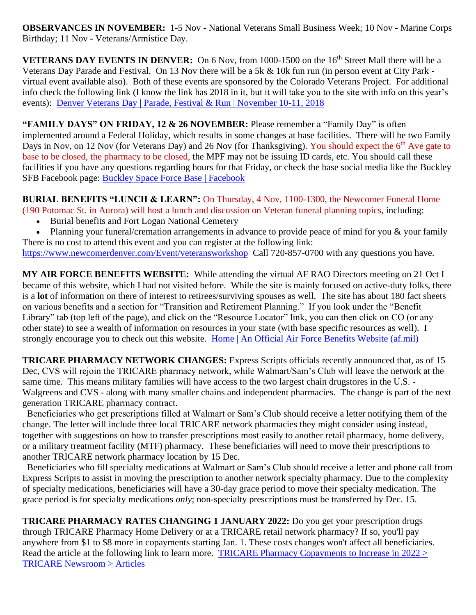**OBSERVANCES IN NOVEMBER:** 1-5 Nov - National Veterans Small Business Week; 10 Nov - Marine Corps Birthday; 11 Nov - Veterans/Armistice Day.

**VETERANS DAY EVENTS IN DENVER:** On 6 Nov, from 1000-1500 on the 16<sup>th</sup> Street Mall there will be a Veterans Day Parade and Festival.On 13 Nov there will be a 5k & 10k fun run (in person event at City Park virtual event available also). Both of these events are sponsored by the Colorado Veterans Project. For additional info check the following link (I know the link has 2018 in it, but it will take you to the site with info on this year's events): [Denver Veterans Day | Parade, Festival & Run | November 10-11, 2018](https://www.denverveteransday.com/)

**"FAMILY DAYS" ON FRIDAY, 12 & 26 NOVEMBER:** Please remember a "Family Day" is often implemented around a Federal Holiday, which results in some changes at base facilities. There will be two Family Days in Nov, on 12 Nov (for Veterans Day) and 26 Nov (for Thanksgiving). You should expect the 6<sup>th</sup> Ave gate to base to be closed, the pharmacy to be closed, the MPF may not be issuing ID cards, etc. You should call these facilities if you have any questions regarding hours for that Friday, or check the base social media like the Buckley SFB Facebook page: [Buckley Space Force Base | Facebook](https://www.facebook.com/BuckleySpaceForceBase/)

**BURIAL BENEFITS "LUNCH & LEARN":** On Thursday, 4 Nov, 1100-1300, the Newcomer Funeral Home (190 Potomac St. in Aurora) will host a lunch and discussion on Veteran funeral planning topics, including:

- Burial benefits and Fort Logan National Cemetery
- Planning your funeral/cremation arrangements in advance to provide peace of mind for you & your family There is no cost to attend this event and you can register at the following link:

<https://www.newcomerdenver.com/Event/veteransworkshop>Call 720-857-0700 with any questions you have.

**MY AIR FORCE BENEFITS WEBSITE:** While attending the virtual AF RAO Directors meeting on 21 Oct I became of this website, which I had not visited before. While the site is mainly focused on active-duty folks, there is a **lot** of information on there of interest to retirees/surviving spouses as well. The site has about 180 fact sheets on various benefits and a section for "Transition and Retirement Planning." If you look under the "Benefit Library" tab (top left of the page), and click on the "Resource Locator" link, you can then click on CO (or any other state) to see a wealth of information on resources in your state (with base specific resources as well). I strongly encourage you to check out this website. [Home | An Official Air Force Benefits Website \(af.mil\)](https://www.myairforcebenefits.us.af.mil/)

**TRICARE PHARMACY NETWORK CHANGES:** Express Scripts officials recently announced that, as of 15 Dec, CVS will rejoin the TRICARE pharmacy network, while Walmart/Sam's Club will leave the network at the same time. This means military families will have access to the two largest chain drugstores in the U.S. -Walgreens and CVS - along with many smaller chains and independent pharmacies. The change is part of the [next](https://www.prnewswire.com/news-releases/express-scripts-awarded-7-year-tricare-pharmacy-program-contract-301350021.html)  [generation](https://www.prnewswire.com/news-releases/express-scripts-awarded-7-year-tricare-pharmacy-program-contract-301350021.html) TRICARE pharmacy contract.

 Beneficiaries who get prescriptions filled at Walmart or Sam's Club should receive a letter notifying them of the change. The letter will include three local TRICARE network pharmacies they might consider using instead, together with suggestions on how to transfer prescriptions most easily to another retail pharmacy, home delivery, or a military treatment facility (MTF) pharmacy. These beneficiaries will need to move their prescriptions to another TRICARE network pharmacy location by 15 Dec.

 Beneficiaries who fill [specialty medications](https://tricare.mil/CoveredServices/IsItCovered/SpecialtyDrugs) at Walmart or Sam's Club should receive a letter and phone call from Express Scripts to assist in moving the prescription to another network specialty pharmacy. Due to the complexity of specialty medications, beneficiaries will have a 30-day grace period to move their specialty medication. The grace period is for specialty medications *only*; non-specialty prescriptions must be transferred by Dec. 15.

**TRICARE PHARMACY RATES CHANGING 1 JANUARY 2022:** Do you get your prescription drugs through TRICARE Pharmacy Home Delivery or at a TRICARE retail network pharmacy? If so, you'll pay anywhere from \$1 to \$8 more in copayments starting Jan. 1. These costs changes won't affect all beneficiaries. Read the article at the following link to learn more. TRICARE Pharmacy Copayments to Increase in 2022 > [TRICARE Newsroom > Articles](https://newsroom.tricare.mil/Articles/Article/2792283/tricare-pharmacy-copayments-to-increase-in-2022)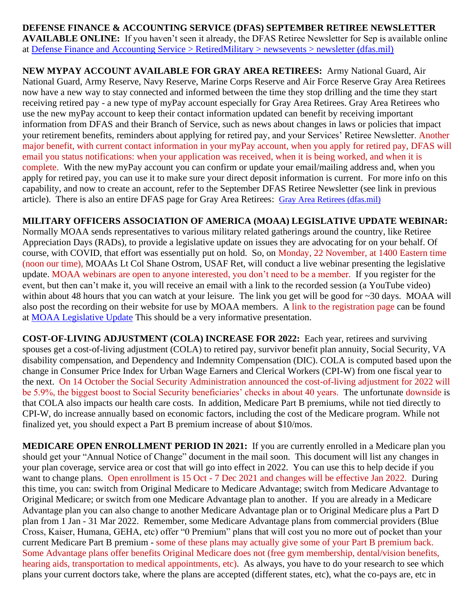**DEFENSE FINANCE & ACCOUNTING SERVICE (DFAS) SEPTEMBER RETIREE NEWSLETTER AVAILABLE ONLINE:** If you haven't seen it already, the DFAS Retiree Newsletter for Sep is available online at [Defense Finance and Accounting Service > RetiredMilitary > newsevents > newsletter \(dfas.mil\)](https://www.dfas.mil/retiredmilitary/newsevents/newsletter/)

**NEW MYPAY ACCOUNT AVAILABLE FOR GRAY AREA RETIREES:** Army National Guard, Air National Guard, Army Reserve, Navy Reserve, Marine Corps Reserve and Air Force Reserve Gray Area Retirees now have a new way to stay connected and informed between the time they stop drilling and the time they start receiving retired pay - a new type of myPay account especially for Gray Area Retirees. Gray Area Retirees who use the new myPay account to keep their contact information updated can benefit by receiving important information from DFAS and their Branch of Service, such as news about changes in laws or policies that impact your retirement benefits, reminders about applying for retired pay, and your Services' Retiree Newsletter. Another major benefit, with current contact information in your myPay account, when you apply for retired pay, DFAS will email you status notifications: when your application was received, when it is being worked, and when it is complete. With the new myPay account you can confirm or update your email/mailing address and, when you apply for retired pay, you can use it to make sure your direct deposit information is current. For more info on this capability, and now to create an account, refer to the September DFAS Retiree Newsletter (see link in previous article). There is also an entire DFAS page for Gray Area Retirees: [Gray Area Retirees \(dfas.mil\)](https://www.dfas.mil/RetiredMilitary/plan/Gray-Area-Retirees/)

### **MILITARY OFFICERS ASSOCIATION OF AMERICA (MOAA) LEGISLATIVE UPDATE WEBINAR:**

Normally MOAA sends representatives to various military related gatherings around the country, like Retiree Appreciation Days (RADs), to provide a legislative update on issues they are advocating for on your behalf. Of course, with COVID, that effort was essentially put on hold. So, on Monday, 22 November, at 1400 Eastern time (noon our time), MOAAs Lt Col Shane Ostrom, USAF Ret, will conduct a live webinar presenting the legislative update. MOAA webinars are open to anyone interested, you don't need to be a member. If you register for the event, but then can't make it, you will receive an email with a link to the recorded session (a YouTube video) within about 48 hours that you can watch at your leisure. The link you get will be good for ~30 days. MOAA will also post the recording on their website for use by MOAA members. A link to the registration page can be found at [MOAA Legislative Update](https://www.moaa.org/content/events/healthcare-and-benefits/virtual-retiree-appreciation-day-moaa-legislative-update-on-pay-and-benefits/) This should be a very informative presentation.

**COST-OF-LIVING ADJUSTMENT (COLA) INCREASE FOR 2022:** Each year, retirees and surviving spouses get a cost-of-living adjustment (COLA) to retired pay, survivor benefit plan annuity, Social Security, VA disability compensation, and Dependency and Indemnity Compensation (DIC). COLA is computed based upon the change in Consumer Price Index for Urban Wage Earners and Clerical Workers (CPI-W) from one fiscal year to the next. On 14 October the Social Security Administration announced the cost-of-living adjustment for 2022 will be 5.9%, the biggest boost to Social Security beneficiaries' checks in about 40 years. The unfortunate downside is that COLA also impacts our health care costs. In addition, Medicare Part B premiums, while not tied directly to CPI-W, do increase annually based on economic factors, including the cost of the Medicare program. While not finalized yet, you should expect a Part B premium increase of about \$10/mos.

**MEDICARE OPEN ENROLLMENT PERIOD IN 2021:** If you are currently enrolled in a Medicare plan you should get your "Annual Notice of Change" document in the mail soon. This document will list any changes in your plan coverage, service area or cost that will go into effect in 2022. You can use this to help decide if you want to change plans. Open enrollment is 15 Oct - 7 Dec 2021 and changes will be effective Jan 2022. During this time, you can: switch from Original Medicare to Medicare Advantage; switch from Medicare Advantage to Original Medicare; or switch from one Medicare Advantage plan to another. If you are already in a Medicare Advantage plan you can also change to another Medicare Advantage plan or to Original Medicare plus a Part D plan from 1 Jan - 31 Mar 2022. Remember, some Medicare Advantage plans from commercial providers (Blue Cross, Kaiser, Humana, GEHA, etc) offer "0 Premium" plans that will cost you no more out of pocket than your current Medicare Part B premium - some of these plans may actually give some of your Part B premium back. Some Advantage plans offer benefits Original Medicare does not (free gym membership, dental/vision benefits, hearing aids, transportation to medical appointments, etc). As always, you have to do your research to see which plans your current doctors take, where the plans are accepted (different states, etc), what the co-pays are, etc in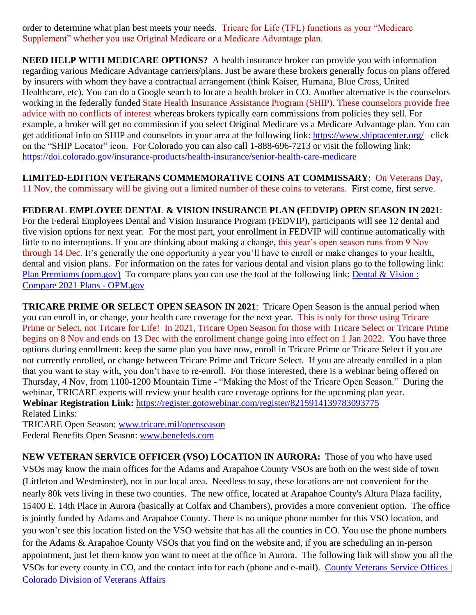order to determine what plan best meets your needs. Tricare for Life (TFL) functions as your "Medicare Supplement" whether you use Original Medicare or a Medicare Advantage plan.

**NEED HELP WITH MEDICARE OPTIONS?** A health insurance broker can provide you with information regarding various Medicare Advantage carriers/plans. Just be aware these brokers generally focus on plans offered by insurers with whom they have a contractual arrangement (think Kaiser, Humana, Blue Cross, United Healthcare, etc). You can do a Google search to locate a health broker in CO. Another alternative is the counselors working in the federally funded State Health Insurance Assistance Program (SHIP). These counselors provide free advice with no conflicts of interest whereas brokers typically earn commissions from policies they sell. For example, a broker will get no commission if you select Original Medicare vs a Medicare Advantage plan. You can get additional info on SHIP and counselors in your area at the following link:<https://www.shiptacenter.org/>click on the "SHIP Locator" icon. For Colorado you can also call 1-888-696-7213 or visit the following link: <https://doi.colorado.gov/insurance-products/health-insurance/senior-health-care-medicare>

**LIMITED-EDITION VETERANS COMMEMORATIVE COINS AT COMMISSARY**: On Veterans Day, 11 Nov, the commissary will be giving out a limited number of these coins to veterans. First come, first serve.

### **FEDERAL EMPLOYEE DENTAL & VISION INSURANCE PLAN (FEDVIP) OPEN SEASON IN 2021**:

For the Federal Employees Dental and Vision Insurance Program (FEDVIP), participants will see 12 dental and five vision options for next year. For the most part, your enrollment in FEDVIP will continue automatically with little to no interruptions. If you are thinking about making a change, this year's open season runs from 9 Nov through 14 Dec. It's generally the one opportunity a year you'll have to enroll or make changes to your health, dental and vision plans. For information on the rates for various dental and vision plans go to the following link: [Plan Premiums \(opm.gov\)](https://www.opm.gov/healthcare-insurance/dental-vision/plan-information/plan-premiums/) To compare plans you can use the tool at the following link: Dental & Vision : [Compare 2021 Plans -](https://www.opm.gov/healthcare-insurance/healthcare/plan-information/compare-plans/fedvip) OPM.gov

**TRICARE PRIME OR SELECT OPEN SEASON IN 2021**: Tricare Open Season is the annual period when you can enroll in, or change, your health care coverage for the next year. This is only for those using Tricare Prime or Select, not Tricare for Life! In 2021, Tricare Open Season for those with Tricare Select or Tricare Prime begins on 8 Nov and ends on 13 Dec with the enrollment change going into effect on 1 Jan 2022. You have three options during enrollment: keep the same plan you have now, enroll in Tricare Prime or Tricare Select if you are not currently enrolled, or change between Tricare Prime and Tricare Select. If you are already enrolled in a plan that you want to stay with, you don't have to re-enroll. For those interested, there is a webinar being offered on Thursday, 4 Nov, from 1100-1200 Mountain Time - "Making the Most of the Tricare Open Season." During the webinar, TRICARE experts will review your health care coverage options for the upcoming plan year. **Webinar Registration Link:** <https://register.gotowebinar.com/register/8215914139783093775> Related Links:

TRICARE Open Season: [www.tricare.mil/openseason](http://www.tricare.mil/openseason)  Federal Benefits Open Season: [www.benefeds.com](http://www.benefeds.com/)

**NEW VETERAN SERVICE OFFICER (VSO) LOCATION IN AURORA:** Those of you who have used VSOs may know the main offices for the Adams and Arapahoe County VSOs are both on the west side of town (Littleton and Westminster), not in our local area. Needless to say, these locations are not convenient for the nearly 80k vets living in these two counties. The new office, located at Arapahoe County's Altura Plaza facility, 15400 E. 14th Place in Aurora (basically at Colfax and Chambers), provides a more convenient option. The office is jointly funded by Adams and Arapahoe County. There is no unique phone number for this VSO location, and you won't see this location listed on the VSO website that has all the counties in CO. You use the phone numbers for the Adams & Arapahoe County VSOs that you find on the website and, if you are scheduling an in-person appointment, just let them know you want to meet at the office in Aurora. The following link will show you all the VSOs for every county in CO, and the contact info for each (phone and e-mail). [County Veterans Service Offices |](https://vets.colorado.gov/services/county-veterans-service-offices)  [Colorado Division of Veterans Affairs](https://vets.colorado.gov/services/county-veterans-service-offices)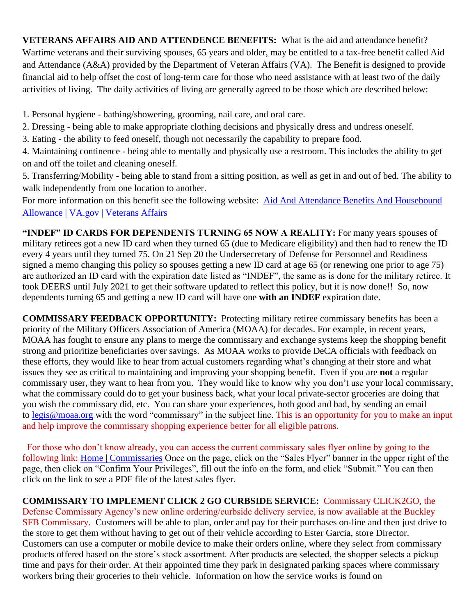**VETERANS AFFAIRS AID AND ATTENDENCE BENEFITS:** What is the aid and attendance benefit? Wartime veterans and their surviving spouses, 65 years and older, may be entitled to a tax-free benefit called Aid and Attendance (A&A) provided by the Department of Veteran Affairs (VA). The Benefit is designed to provide financial aid to help offset the cost of long-term care for those who need assistance with at least two of the daily activities of living. The daily activities of living are generally agreed to be those which are described below:

1. Personal hygiene - bathing/showering, grooming, nail care, and oral care.

2. Dressing - being able to make appropriate clothing decisions and physically dress and undress oneself.

3. Eating - the ability to feed oneself, though not necessarily the capability to prepare food.

4. Maintaining continence - being able to mentally and physically use a restroom. This includes the ability to get on and off the toilet and cleaning oneself.

5. Transferring/Mobility - being able to stand from a sitting position, as well as get in and out of bed. The ability to walk independently from one location to another.

For more information on this benefit see the following website: Aid And Attendance Benefits And Housebound [Allowance | VA.gov | Veterans Affairs](https://www.va.gov/pension/aid-attendance-housebound/)

**"INDEF" ID CARDS FOR DEPENDENTS TURNING 65 NOW A REALITY:** For many years spouses of military retirees got a new ID card when they turned 65 (due to Medicare eligibility) and then had to renew the ID every 4 years until they turned 75. On 21 Sep 20 the Undersecretary of Defense for Personnel and Readiness signed a memo changing this policy so spouses getting a new ID card at age 65 (or renewing one prior to age 75) are authorized an ID card with the expiration date listed as "INDEF", the same as is done for the military retiree. It took DEERS until July 2021 to get their software updated to reflect this policy, but it is now done!! So, now dependents turning 65 and getting a new ID card will have one **with an INDEF** expiration date.

**COMMISSARY FEEDBACK OPPORTUNITY:** Protecting military retiree commissary benefits has been a priority of the Military Officers Association of America (MOAA) for decades. For example, in recent years, MOAA has fought to ensure any plans to merge the commissary and exchange systems keep the shopping benefit strong and prioritize beneficiaries over savings. As MOAA works to provide DeCA officials with feedback on these efforts, they would like to hear from actual customers regarding what's changing at their store and what issues they see as critical to maintaining and improving your shopping benefit. Even if you are **not** a regular commissary user, they want to hear from you. They would like to know why you don't use your local commissary, what the commissary could do to get your business back, what your local private-sector groceries are doing that you wish the commissary did, etc. You can share your experiences, both good and bad, by sending an email to [legis@moaa.org](mailto:legis@moaa.org?subject=Commissary) with the word "commissary" in the subject line. This is an opportunity for you to make an input and help improve the commissary shopping experience better for all eligible patrons.

 For those who don't know already, you can access the current commissary sales flyer online by going to the following link: [Home | Commissaries](https://www.commissaries.com/) Once on the page, click on the "Sales Flyer" banner in the upper right of the page, then click on "Confirm Your Privileges", fill out the info on the form, and click "Submit." You can then click on the link to see a PDF file of the latest sales flyer.

**COMMISSARY TO IMPLEMENT CLICK 2 GO CURBSIDE SERVICE:** Commissary CLICK2GO, the Defense Commissary Agency's new online ordering/curbside delivery service, is now available at the Buckley SFB Commissary. Customers will be able to plan, order and pay for their purchases on-line and then just drive to the store to get them without having to get out of their vehicle according to Ester Garcia, store Director. Customers can use a computer or mobile device to make their orders online, where they select from commissary products offered based on the store's stock assortment. After products are selected, the shopper selects a pickup time and pays for their order. At their appointed time they park in designated parking spaces where commissary workers bring their groceries to their vehicle. Information on how the service works is found on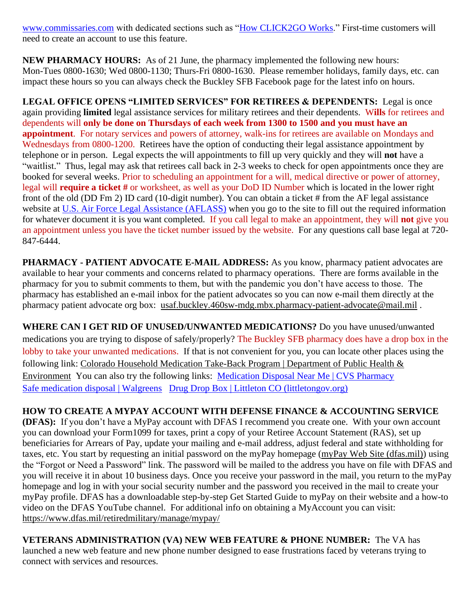[www.commissaries.com](http://www.commissaries.com/) with dedicated sections such as ["How CLICK2GO Works.](https://commissaries.com/how-CLICK2GO-works)" First-time customers will need to create an account to use this feature.

**NEW PHARMACY HOURS:** As of 21 June, the pharmacy implemented the following new hours: Mon-Tues 0800-1630; Wed 0800-1130; Thurs-Fri 0800-1630. Please remember holidays, family days, etc. can impact these hours so you can always check the Buckley SFB Facebook page for the latest info on hours.

**LEGAL OFFICE OPENS "LIMITED SERVICES" FOR RETIREES & DEPENDENTS:** Legal is once again providing **limited** legal assistance services for military retirees and their dependents. W**ills** for retirees and dependents will **only be done on Thursdays of each week from 1300 to 1500 and you must have an appointment**. For notary services and powers of attorney, walk-ins for retirees are available on Mondays and Wednesdays from 0800-1200. Retirees have the option of conducting their legal assistance appointment by telephone or in person. Legal expects the will appointments to fill up very quickly and they will **not** have a "waitlist." Thus, legal may ask that retirees call back in 2-3 weeks to check for open appointments once they are booked for several weeks. Prior to scheduling an appointment for a will, medical directive or power of attorney, legal will **require a ticket #** or worksheet, as well as your DoD ID Number which is located in the lower right front of the old (DD Fm 2) ID card (10-digit number). You can obtain a ticket # from the AF legal assistance website at [U.S. Air Force Legal Assistance](https://aflegalassistance.law.af.mil/lass/lass.html) (AFLASS) when you go to the site to fill out the required information for whatever document it is you want completed. If you call legal to make an appointment, they will **not** give you an appointment unless you have the ticket number issued by the website. For any questions call base legal at 720- 847-6444.

**PHARMACY - PATIENT ADVOCATE E-MAIL ADDRESS:** As you know, pharmacy patient advocates are available to hear your comments and concerns related to pharmacy operations. There are forms available in the pharmacy for you to submit comments to them, but with the pandemic you don't have access to those. The pharmacy has established an e-mail inbox for the patient advocates so you can now e-mail them directly at the pharmacy patient advocate org box: [usaf.buckley.460sw-mdg.mbx.pharmacy-patient-advocate@mail.mil](mailto:usaf.buckley.460sw-mdg.mbx.pharmacy-patient-advocate@mail.mil) .

**WHERE CAN I GET RID OF UNUSED/UNWANTED MEDICATIONS?** Do you have unused/unwanted medications you are trying to dispose of safely/properly? The Buckley SFB pharmacy does have a drop box in the lobby to take your unwanted medications. If that is not convenient for you, you can locate other places using the following link: [Colorado Household Medication Take-Back Program | Department of Public Health &](https://cdphe.colorado.gov/colorado-medication-take-back-program)  [Environment](https://cdphe.colorado.gov/colorado-medication-take-back-program) You can also try the following links: [Medication Disposal Near Me | CVS Pharmacy](https://www.cvs.com/content/safer-communities-locate) [Safe medication disposal | Walgreens](https://www.walgreens.com/topic/pharmacy/safe-medication-disposal.jsp) [Drug Drop Box | Littleton CO \(littletongov.org\)](https://www.littletongov.org/city-services/city-departments/police-department/programs-services/drug-drop-box)

**HOW TO CREATE A MYPAY ACCOUNT WITH DEFENSE FINANCE & ACCOUNTING SERVICE (DFAS):** If you don't have a MyPay account with DFAS I recommend you create one. With your own account you can download your Form1099 for taxes, print a copy of your Retiree Account Statement (RAS), set up beneficiaries for Arrears of Pay, update your mailing and e-mail address, adjust federal and state withholding for taxes, etc. You start by requesting an initial password on the myPay homepage [\(myPay Web Site \(dfas.mil\)\)](https://mypay.dfas.mil/#/) using the "Forgot or Need a Password" link. The password will be mailed to the address you have on file with DFAS and you will receive it in about 10 business days. Once you receive your password in the mail, you return to the myPay homepage and log in with your social security number and the password you received in the mail to create your myPay profile. DFAS has a downloadable step-by-step Get Started Guide to myPay on their website and a how-to video on the DFAS YouTube channel. For additional info on obtaining a MyAccount you can visit: <https://www.dfas.mil/retiredmilitary/manage/mypay/>

**VETERANS ADMINISTRATION (VA) NEW WEB FEATURE & PHONE NUMBER:** The VA has launched a new web feature and new phone number designed to ease frustrations faced by veterans trying to connect with services and resources.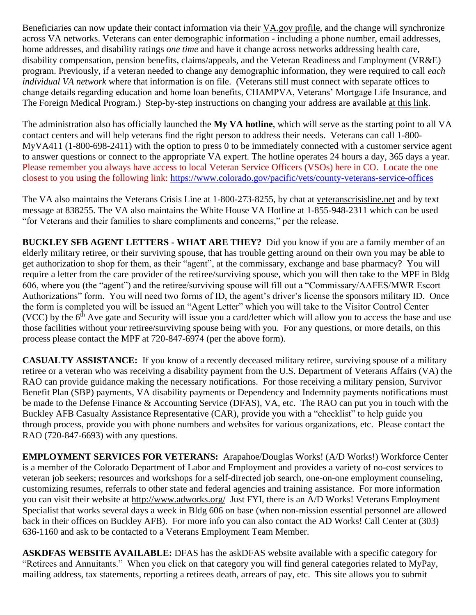Beneficiaries can now update their contact information via their [VA.gov](https://www.va.gov/change-address/) profile, and the change will synchronize across VA networks. Veterans can enter demographic information - including a phone number, email addresses, home addresses, and disability ratings *one time* and have it change across networks addressing health care, disability compensation, pension benefits, claims/appeals, and the Veteran Readiness and Employment (VR&E) program. Previously, if a veteran needed to change any demographic information, they were required to call *each individual VA network* where that information is on file. (Veterans still must connect with separate offices to change details regarding education and home loan benefits, CHAMPVA, Veterans' Mortgage Life Insurance, and The Foreign Medical Program.) Step-by-step instructions on changing your address are available at this [link.](https://www.va.gov/change-address/)

The administration also has officially launched the **My VA hotline**, which will serve as the starting point to all VA contact centers and will help veterans find the right person to address their needs. Veterans can call 1-800- MyVA411 (1-800-698-2411) with the option to press 0 to be immediately connected with a customer service agent to answer questions or connect to the appropriate VA expert. The hotline operates 24 hours a day, 365 days a year. Please remember you always have access to local Veteran Service Officers (VSOs) here in CO. Locate the one closest to you using the following link:<https://www.colorado.gov/pacific/vets/county-veterans-service-offices>

The VA also maintains the Veterans Crisis Line at 1-800-273-8255, by chat at [veteranscrisisline.net](https://www.va.gov/opa/pressrel/pressrelease.cfm?id=5588) and by text message at 838255. The VA also maintains the White House VA Hotline at 1-855-948-2311 which can be used "for Veterans and their families to share compliments and concerns," per the release.

**BUCKLEY SFB AGENT LETTERS - WHAT ARE THEY?** Did you know if you are a family member of an elderly military retiree, or their surviving spouse, that has trouble getting around on their own you may be able to get authorization to shop for them, as their "agent", at the commissary, exchange and base pharmacy? You will require a letter from the care provider of the retiree/surviving spouse, which you will then take to the MPF in Bldg 606, where you (the "agent") and the retiree/surviving spouse will fill out a "Commissary/AAFES/MWR Escort Authorizations" form. You will need two forms of ID, the agent's driver's license the sponsors military ID. Once the form is completed you will be issued an "Agent Letter" which you will take to the Visitor Control Center (VCC) by the  $6<sup>th</sup>$  Ave gate and Security will issue you a card/letter which will allow you to access the base and use those facilities without your retiree/surviving spouse being with you. For any questions, or more details, on this process please contact the MPF at 720-847-6974 (per the above form).

**CASUALTY ASSISTANCE:** If you know of a recently deceased military retiree, surviving spouse of a military retiree or a veteran who was receiving a disability payment from the U.S. Department of Veterans Affairs (VA) the RAO can provide guidance making the necessary notifications. For those receiving a military pension, Survivor Benefit Plan (SBP) payments, VA disability payments or Dependency and Indemnity payments notifications must be made to the Defense Finance & Accounting Service (DFAS), VA, etc. The RAO can put you in touch with the Buckley AFB Casualty Assistance Representative (CAR), provide you with a "checklist" to help guide you through process, provide you with phone numbers and websites for various organizations, etc. Please contact the RAO (720-847-6693) with any questions.

**EMPLOYMENT SERVICES FOR VETERANS:** Arapahoe/Douglas Works! (A/D Works!) Workforce Center is a member of the Colorado Department of Labor and Employment and provides a variety of no-cost services to veteran job seekers; resources and workshops for a self-directed job search, one-on-one employment counseling, customizing resumes, referrals to other state and federal agencies and training assistance. For more information you can visit their website at<http://www.adworks.org/>Just FYI, there is an A/D Works! Veterans Employment Specialist that works several days a week in Bldg 606 on base (when non-mission essential personnel are allowed back in their offices on Buckley AFB). For more info you can also contact the AD Works! Call Center at (303) 636-1160 and ask to be contacted to a Veterans Employment Team Member.

**ASKDFAS WEBSITE AVAILABLE:** DFAS has the askDFAS website available with a specific category for "Retirees and Annuitants." When you click on that category you will find general categories related to MyPay, mailing address, tax statements, reporting a retirees death, arrears of pay, etc. This site allows you to submit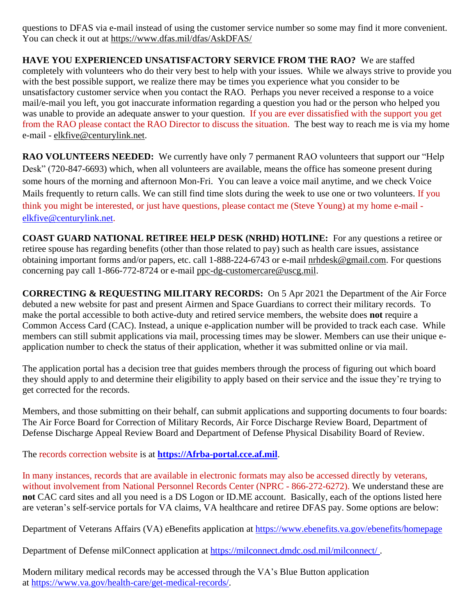questions to DFAS via e-mail instead of using the customer service number so some may find it more convenient. You can check it out at<https://www.dfas.mil/dfas/AskDFAS/>

**HAVE YOU EXPERIENCED UNSATISFACTORY SERVICE FROM THE RAO?** We are staffed completely with volunteers who do their very best to help with your issues. While we always strive to provide you with the best possible support, we realize there may be times you experience what you consider to be unsatisfactory customer service when you contact the RAO. Perhaps you never received a response to a voice mail/e-mail you left, you got inaccurate information regarding a question you had or the person who helped you was unable to provide an adequate answer to your question. If you are ever dissatisfied with the support you get from the RAO please contact the RAO Director to discuss the situation. The best way to reach me is via my home e-mail - [elkfive@centurylink.net.](mailto:elkfive@centurylink.net)

**RAO VOLUNTEERS NEEDED:** We currently have only 7 permanent RAO volunteers that support our "Help" Desk" (720-847-6693) which, when all volunteers are available, means the office has someone present during some hours of the morning and afternoon Mon-Fri. You can leave a voice mail anytime, and we check Voice Mails frequently to return calls. We can still find time slots during the week to use one or two volunteers. If you think you might be interested, or just have questions, please contact me (Steve Young) at my home e-mail [elkfive@centurylink.net.](mailto:elkfive@centurylink.net)

**COAST GUARD NATIONAL RETIREE HELP DESK (NRHD) HOTLINE:** For any questions a retiree or retiree spouse has regarding benefits (other than those related to pay) such as health care issues, assistance obtaining important forms and/or papers, etc. call 1-888-224-6743 or e-mail [nrhdesk@gmail.com.](mailto:nrhdesk@gmail.com) For questions concerning pay call 1-866-772-8724 or e-mail [ppc-dg-customercare@uscg.mil.](mailto:ppc-dg-customercare@uscg.mil)

**CORRECTING & REQUESTING MILITARY RECORDS:** On 5 Apr 2021 the Department of the Air Force debuted a new website for past and present Airmen and Space Guardians to correct their military records. To make the portal accessible to both active-duty and retired service members, the website does **not** require a Common Access Card (CAC). Instead, a unique e-application number will be provided to track each case. While members can still submit applications via mail, processing times may be slower. Members can use their unique eapplication number to check the status of their application, whether it was submitted online or via mail.

The application portal has a decision tree that guides members through the process of figuring out which board they should apply to and determine their eligibility to apply based on their service and the issue they're trying to get corrected for the records.

Members, and those submitting on their behalf, can submit applications and supporting documents to four boards: The Air Force Board for Correction of Military Records, Air Force Discharge Review Board, Department of Defense Discharge Appeal Review Board and Department of Defense Physical Disability Board of Review.

The records correction website is at **[https://Afrba-portal.cce.af.mil](https://afrba-portal.cce.af.mil/)**.

In many instances, records that are available in electronic formats may also be accessed directly by veterans, without involvement from National Personnel Records Center (NPRC - 866-272-6272). We understand these are **not** CAC card sites and all you need is a DS Logon or ID.ME account. Basically, each of the options listed here are veteran's self-service portals for VA claims, VA healthcare and retiree DFAS pay. Some options are below:

Department of Veterans Affairs (VA) eBenefits application at [https://www.ebenefits.va.gov/ebenefits/homepage](https://gcc02.safelinks.protection.outlook.com/?url=https%3A%2F%2Fwww.ebenefits.va.gov%2Febenefits%2Fhomepage&data=04%7C01%7CJMedina%40arapahoegov.com%7C4ba6a9bb0f614d20689d08d8f4881a52%7C57d7b626d71d47f684c1c43bda19ba16%7C1%7C0%7C637528212705904594%7CUnknown%7CTWFpbGZsb3d8eyJWIjoiMC4wLjAwMDAiLCJQIjoiV2luMzIiLCJBTiI6Ik1haWwiLCJXVCI6Mn0%3D%7C1000&sdata=hXw9dmDwVyyfMT6CLAKjNC7ErxQaRPjSNwpBd6NAZQE%3D&reserved=0)

Department of Defense milConnect application at [https://milconnect.dmdc.osd.mil/milconnect/](https://gcc02.safelinks.protection.outlook.com/?url=https%3A%2F%2Fmilconnect.dmdc.osd.mil%2Fmilconnect%2F&data=04%7C01%7CJMedina%40arapahoegov.com%7C4ba6a9bb0f614d20689d08d8f4881a52%7C57d7b626d71d47f684c1c43bda19ba16%7C1%7C0%7C637528212705914549%7CUnknown%7CTWFpbGZsb3d8eyJWIjoiMC4wLjAwMDAiLCJQIjoiV2luMzIiLCJBTiI6Ik1haWwiLCJXVCI6Mn0%3D%7C1000&sdata=Eov1Utj64StS5R1dMb%2F4BZh07Y6ue08qLBwOJlppgzs%3D&reserved=0) .

Modern military medical records may be accessed through the VA's Blue Button application at [https://www.va.gov/health-care/get-medical-records/.](https://gcc02.safelinks.protection.outlook.com/?url=https%3A%2F%2Fwww.va.gov%2Fhealth-care%2Fget-medical-records%2F&data=04%7C01%7CJMedina%40arapahoegov.com%7C4ba6a9bb0f614d20689d08d8f4881a52%7C57d7b626d71d47f684c1c43bda19ba16%7C1%7C0%7C637528212705914549%7CUnknown%7CTWFpbGZsb3d8eyJWIjoiMC4wLjAwMDAiLCJQIjoiV2luMzIiLCJBTiI6Ik1haWwiLCJXVCI6Mn0%3D%7C1000&sdata=ZscT%2FLEpaJZRPKyOrDzvuwAjP4QuxW2MrNoew0X87%2BU%3D&reserved=0)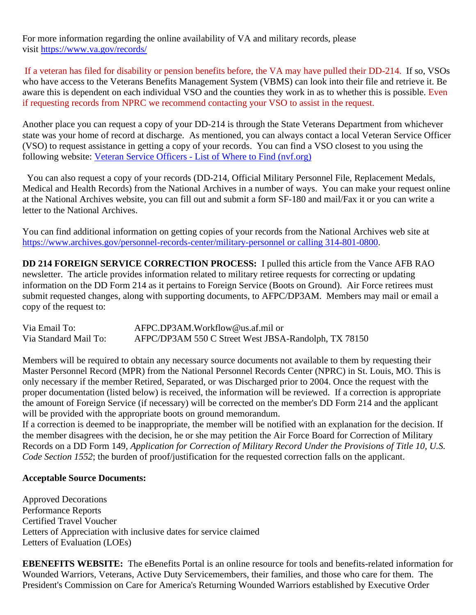For more information regarding the online availability of VA and military records, please visit [https://www.va.gov/records/](https://gcc02.safelinks.protection.outlook.com/?url=https%3A%2F%2Fwww.va.gov%2Frecords%2F&data=04%7C01%7CJMedina%40arapahoegov.com%7C4ba6a9bb0f614d20689d08d8f4881a52%7C57d7b626d71d47f684c1c43bda19ba16%7C1%7C0%7C637528212705914549%7CUnknown%7CTWFpbGZsb3d8eyJWIjoiMC4wLjAwMDAiLCJQIjoiV2luMzIiLCJBTiI6Ik1haWwiLCJXVCI6Mn0%3D%7C1000&sdata=T26BlYnzbcJfnkz0lJD8hvNO988S%2BhMVRIXbJfmmpbA%3D&reserved=0)

If a veteran has filed for disability or pension benefits before, the VA may have pulled their DD-214. If so, VSOs who have access to the Veterans Benefits Management System (VBMS) can look into their file and retrieve it. Be aware this is dependent on each individual VSO and the counties they work in as to whether this is possible. Even if requesting records from NPRC we recommend contacting your VSO to assist in the request.

Another place you can request a copy of your DD-214 is through the State Veterans Department from whichever state was your home of record at discharge. As mentioned, you can always contact a local Veteran Service Officer (VSO) to request assistance in getting a copy of your records. You can find a VSO closest to you using the following website: Veteran Service Officers - List of Where to Find [\(nvf.org\)](https://nvf.org/veteran-service-officers/)

 You can also request a copy of your records (DD-214, Official Military Personnel File, Replacement Medals, Medical and Health Records) from the National Archives in a number of ways. You can make your request online at the National Archives website, you can fill out and submit a form SF-180 and mail/Fax it or you can write a letter to the National Archives.

You can find additional information on getting copies of your records from the National Archives web site at [https://www.archives.gov/personnel-records-center/military-personnel](https://www.archives.gov/personnel-records-center/military-personnel%20or%20calling%20314-801-0800) or calling 314-801-0800.

**DD 214 FOREIGN SERVICE CORRECTION PROCESS:** I pulled this article from the Vance AFB RAO newsletter. The article provides information related to military retiree requests for correcting or updating information on the DD Form 214 as it pertains to Foreign Service (Boots on Ground). Air Force retirees must submit requested changes, along with supporting documents, to AFPC/DP3AM. Members may mail or email a copy of the request to:

| Via Email To:         | AFPC.DP3AM.Workflow@us.af.mil or                     |
|-----------------------|------------------------------------------------------|
| Via Standard Mail To: | AFPC/DP3AM 550 C Street West JBSA-Randolph, TX 78150 |

Members will be required to obtain any necessary source documents not available to them by requesting their Master Personnel Record (MPR) from the National Personnel Records Center (NPRC) in St. Louis, MO. This is only necessary if the member Retired, Separated, or was Discharged prior to 2004. Once the request with the proper documentation (listed below) is received, the information will be reviewed. If a correction is appropriate the amount of Foreign Service (if necessary) will be corrected on the member's DD Form 214 and the applicant will be provided with the appropriate boots on ground memorandum.

If a correction is deemed to be inappropriate, the member will be notified with an explanation for the decision. If the member disagrees with the decision, he or she may petition the Air Force Board for Correction of Military Records on a DD Form 149, *Application for Correction of Military Record Under the Provisions of Title 10, U.S. Code Section 1552*; the burden of proof/justification for the requested correction falls on the applicant.

#### **Acceptable Source Documents:**

Approved Decorations Performance Reports Certified Travel Voucher Letters of Appreciation with inclusive dates for service claimed Letters of Evaluation (LOEs)

**EBENEFITS WEBSITE:** The eBenefits Portal is an online resource for tools and benefits-related information for Wounded Warriors, Veterans, Active Duty Servicemembers, their families, and those who care for them. The President's Commission on Care for America's Returning Wounded Warriors established by Executive Order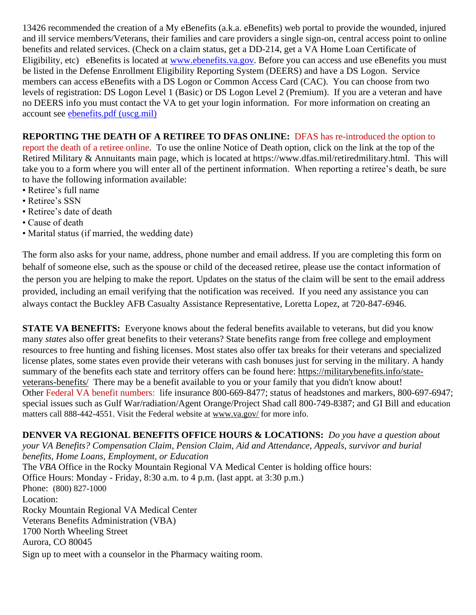13426 recommended the creation of a My eBenefits (a.k.a. eBenefits) web portal to provide the wounded, injured and ill service members/Veterans, their families and care providers a single sign-on, central access point to online benefits and related services. (Check on a claim status, get a DD-214, get a VA Home Loan Certificate of Eligibility, etc) eBenefits is located at [www.ebenefits.va.gov.](http://www.ebenefits.va.gov/) Before you can access and use eBenefits you must be listed in the Defense Enrollment Eligibility Reporting System (DEERS) and have a DS Logon. Service members can access eBenefits with a DS Logon or Common Access Card (CAC). You can choose from two levels of registration: DS Logon Level 1 (Basic) or DS Logon Level 2 (Premium). If you are a veteran and have no DEERS info you must contact the VA to get your login information. For more information on creating an account see [ebenefits.pdf \(uscg.mil\)](https://www.dcms.uscg.mil/Portals/10/CG-1/cg111/docs/TAP/ebenefits.pdf?ver=2017-03-06-144849-590)

**REPORTING THE DEATH OF A RETIREE TO DFAS ONLINE:** DFAS has re-introduced the option to report the death of a retiree online. To use the online Notice of Death option, click on the link at the top of the Retired Military & Annuitants main page, which is located at https://www.dfas.mil/retiredmilitary.html. This will take you to a form where you will enter all of the pertinent information. When reporting a retiree's death, be sure to have the following information available:

- Retiree's full name
- Retiree's SSN
- Retiree's date of death
- Cause of death
- Marital status (if married, the wedding date)

The form also asks for your name, address, phone number and email address. If you are completing this form on behalf of someone else, such as the spouse or child of the deceased retiree, please use the contact information of the person you are helping to make the report. Updates on the status of the claim will be sent to the email address provided, including an email verifying that the notification was received. If you need any assistance you can always contact the Buckley AFB Casualty Assistance Representative, Loretta Lopez, at 720-847-6946.

**STATE VA BENEFITS:** Everyone knows about the federal benefits available to veterans, but did you know many *states* also offer great benefits to their veterans? State benefits range from free college and employment resources to free hunting and fishing licenses. Most states also offer tax breaks for their veterans and specialized license plates, some states even provide their veterans with cash bonuses just for serving in the military. A handy summary of the benefits each state and territory offers can be found here: [https://militarybenefits.info/state](https://militarybenefits.info/state-veterans-benefits/)[veterans-benefits/](https://militarybenefits.info/state-veterans-benefits/) There may be a benefit available to you or your family that you didn't know about! Other Federal VA benefit numbers: life insurance 800-669-8477; status of headstones and markers, 800-697-6947; special issues such as Gulf War/radiation/Agent Orange/Project Shad call 800-749-8387; and GI Bill and education matters call 888-442-4551. Visit the Federal website at [www.va.gov/](http://www.va.gov/) for more info.

**DENVER VA REGIONAL BENEFITS OFFICE HOURS & LOCATIONS:** *Do you have a question about your VA Benefits? Compensation Claim, Pension Claim, Aid and Attendance, Appeals, survivor and burial benefits, Home Loans, Employment, or Education*  The *VBA* Office in the Rocky Mountain Regional VA Medical Center is holding office hours: Office Hours: Monday - Friday, 8:30 a.m. to 4 p.m. (last appt. at 3:30 p.m.) Phone: [\(800\) 827-1000](https://www.google.com/search?source=hp&ei=1bIFXOnJLePk8APkxJfIDw&q=denver+va+regional+benefits+office+phone+number&oq=Denver+va+regional+benef&gs_l=psy-ab.1.1.0i22i30l4.1057.7073..9944...0.0..0.148.2902.2j23......0....1..gws-wiz.....0..0j0i131j0i10.2DXy9-Yewu0) Location: Rocky Mountain Regional VA Medical Center Veterans Benefits Administration (VBA) 1700 North Wheeling Street Aurora, CO 80045 Sign up to meet with a counselor in the Pharmacy waiting room.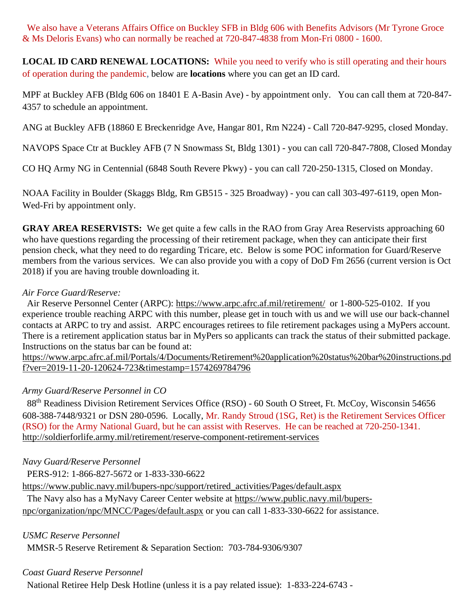We also have a Veterans Affairs Office on Buckley SFB in Bldg 606 with Benefits Advisors (Mr Tyrone Groce & Ms Deloris Evans) who can normally be reached at 720-847-4838 from Mon-Fri 0800 - 1600.

**LOCAL ID CARD RENEWAL LOCATIONS:** While you need to verify who is still operating and their hours of operation during the pandemic, below are **locations** where you can get an ID card.

MPF at Buckley AFB (Bldg 606 on 18401 E A-Basin Ave) - by appointment only. You can call them at 720-847- 4357 to schedule an appointment.

ANG at Buckley AFB (18860 E Breckenridge Ave, Hangar 801, Rm N224) - Call 720-847-9295, closed Monday.

NAVOPS Space Ctr at Buckley AFB (7 N Snowmass St, Bldg 1301) - you can call 720-847-7808, Closed Monday

CO HQ Army NG in Centennial (6848 South Revere Pkwy) - you can call 720-250-1315, Closed on Monday.

NOAA Facility in Boulder (Skaggs Bldg, Rm GB515 - 325 Broadway) - you can call 303-497-6119, open Mon-Wed-Fri by appointment only.

**GRAY AREA RESERVISTS:** We get quite a few calls in the RAO from Gray Area Reservists approaching 60 who have questions regarding the processing of their retirement package, when they can anticipate their first pension check, what they need to do regarding Tricare, etc. Below is some POC information for Guard/Reserve members from the various services. We can also provide you with a copy of DoD Fm 2656 (current version is Oct 2018) if you are having trouble downloading it.

### *Air Force Guard/Reserve:*

 Air Reserve Personnel Center (ARPC): <https://www.arpc.afrc.af.mil/retirement/>or 1-800-525-0102. If you experience trouble reaching ARPC with this number, please get in touch with us and we will use our back-channel contacts at ARPC to try and assist. ARPC encourages retirees to file retirement packages using a MyPers account. There is a retirement application status bar in MyPers so applicants can track the status of their submitted package. Instructions on the status bar can be found at:

[https://www.arpc.afrc.af.mil/Portals/4/Documents/Retirement%20application%20status%20bar%20instructions.pd](https://www.arpc.afrc.af.mil/Portals/4/Documents/Retirement%20application%20status%20bar%20instructions.pdf?ver=2019-11-20-120624-723×tamp=1574269784796) [f?ver=2019-11-20-120624-723&timestamp=1574269784796](https://www.arpc.afrc.af.mil/Portals/4/Documents/Retirement%20application%20status%20bar%20instructions.pdf?ver=2019-11-20-120624-723×tamp=1574269784796)

# *Army Guard/Reserve Personnel in CO*

88<sup>th</sup> Readiness Division Retirement Services Office (RSO) - 60 South O Street, Ft. McCoy, Wisconsin 54656 608-388-7448/9321 or DSN 280-0596. Locally, Mr. Randy Stroud (1SG, Ret) is the Retirement Services Officer (RSO) for the Army National Guard, but he can assist with Reserves. He can be reached at 720-250-1341. <http://soldierforlife.army.mil/retirement/reserve-component-retirement-services>

*Navy Guard/Reserve Personnel*

PERS-912: 1-866-827-5672 or 1-833-330-6622

[https://www.public.navy.mil/bupers-npc/support/retired\\_activities/Pages/default.aspx](https://www.public.navy.mil/bupers-npc/support/retired_activities/Pages/default.aspx)

The Navy also has a MyNavy Career Center website at [https://www.public.navy.mil/bupers-](https://www.public.navy.mil/bupers-npc/organization/npc/MNCC/Pages/default.aspx)

[npc/organization/npc/MNCC/Pages/default.aspx](https://www.public.navy.mil/bupers-npc/organization/npc/MNCC/Pages/default.aspx) or you can call 1-833-330-6622 for assistance.

*USMC Reserve Personnel*

MMSR-5 Reserve Retirement & Separation Section: 703-784-9306/9307

# *Coast Guard Reserve Personnel*

National Retiree Help Desk Hotline (unless it is a pay related issue): 1-833-224-6743 -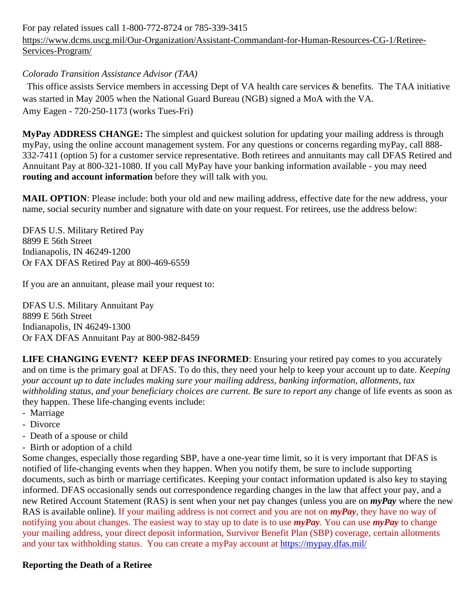For pay related issues call 1-800-772-8724 or 785-339-3415 [https://www.dcms.uscg.mil/Our-Organization/Assistant-Commandant-for-Human-Resources-CG-1/Retiree-](https://www.dcms.uscg.mil/Our-Organization/Assistant-Commandant-for-Human-Resources-CG-1/Retiree-Services-Program/)[Services-Program/](https://www.dcms.uscg.mil/Our-Organization/Assistant-Commandant-for-Human-Resources-CG-1/Retiree-Services-Program/)

### *Colorado Transition Assistance Advisor (TAA)*

 This office assists Service members in accessing Dept of VA health care services & benefits. The TAA initiative was started in May 2005 when the National Guard Bureau (NGB) signed a MoA with the VA. Amy Eagen - 720-250-1173 (works Tues-Fri)

**MyPay ADDRESS CHANGE:** The simplest and quickest solution for updating your mailing address is through myPay, using the online account management system. For any questions or concerns regarding myPay, call 888- 332-7411 (option 5) for a customer service representative. Both retirees and annuitants may call DFAS Retired and Annuitant Pay at 800-321-1080. If you call MyPay have your banking information available - you may need **routing and account information** before they will talk with you.

**MAIL OPTION**: Please include: both your old and new mailing address, effective date for the new address, your name, social security number and signature with date on your request. For retirees, use the address below:

DFAS U.S. Military Retired Pay 8899 E 56th Street Indianapolis, IN 46249-1200 Or FAX DFAS Retired Pay at 800-469-6559

If you are an annuitant, please mail your request to:

DFAS U.S. Military Annuitant Pay 8899 E 56th Street Indianapolis, IN 46249-1300 Or FAX DFAS Annuitant Pay at 800-982-8459

**LIFE CHANGING EVENT? KEEP DFAS INFORMED**: Ensuring your retired pay comes to you accurately and on time is the primary goal at DFAS. To do this, they need your help to keep your account up to date. *Keeping your account up to date includes making sure your mailing address, banking information, allotments, tax withholding status, and your beneficiary choices are current. Be sure to report any c*hange of life events as soon as they happen. These life-changing events include:

- Marriage
- Divorce
- Death of a spouse or child
- Birth or adoption of a child

Some changes, especially those regarding SBP, have a one-year time limit, so it is very important that DFAS is notified of life-changing events when they happen. When you notify them, be sure to include supporting documents, such as birth or marriage certificates. Keeping your contact information updated is also key to staying informed. DFAS occasionally sends out correspondence regarding changes in the law that affect your pay, and a new Retired Account Statement (RAS) is sent when your net pay changes (unless you are on *myPay* where the new RAS is available online). If your mailing address is not correct and you are not on *myPay*, they have no way of notifying you about changes. The easiest way to stay up to date is to use *myPay*. You can use *myPay* to change your mailing address, your direct deposit information, Survivor Benefit Plan (SBP) coverage, certain allotments and your tax withholding status. You can create a myPay account at <https://mypay.dfas.mil/>

# **Reporting the Death of a Retiree**